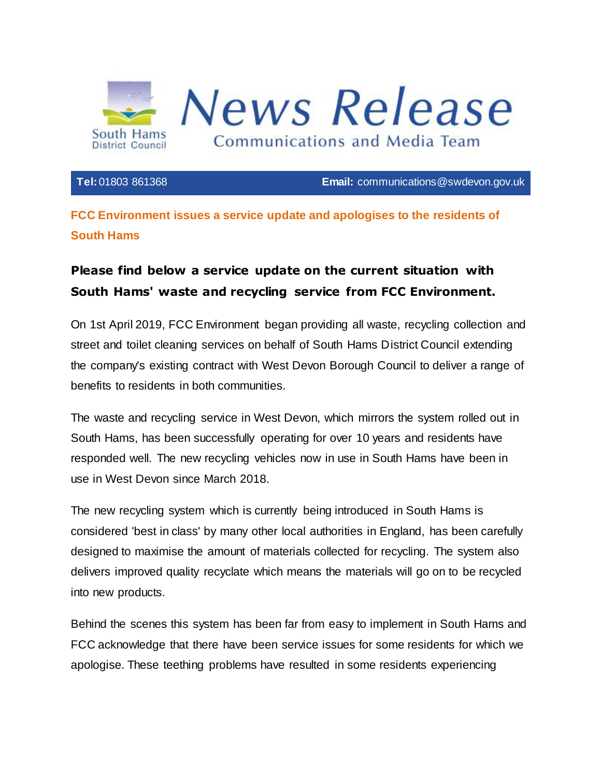

**Tel:**01803 861368 **Email:** [communications@swdevon.gov.uk](mailto:communications@swdevon.gov.uk)

## **FCC Environment issues a service update and apologises to the residents of South Hams**

## **Please find below a service update on the current situation with South Hams' waste and recycling service from FCC Environment.**

On 1st April 2019, FCC Environment began providing all waste, recycling collection and street and toilet cleaning services on behalf of South Hams District Council extending the company's existing contract with West Devon Borough Council to deliver a range of benefits to residents in both communities.

The waste and recycling service in West Devon, which mirrors the system rolled out in South Hams, has been successfully operating for over 10 years and residents have responded well. The new recycling vehicles now in use in South Hams have been in use in West Devon since March 2018.

The new recycling system which is currently being introduced in South Hams is considered 'best in class' by many other local authorities in England, has been carefully designed to maximise the amount of materials collected for recycling. The system also delivers improved quality recyclate which means the materials will go on to be recycled into new products.

Behind the scenes this system has been far from easy to implement in South Hams and FCC acknowledge that there have been service issues for some residents for which we apologise. These teething problems have resulted in some residents experiencing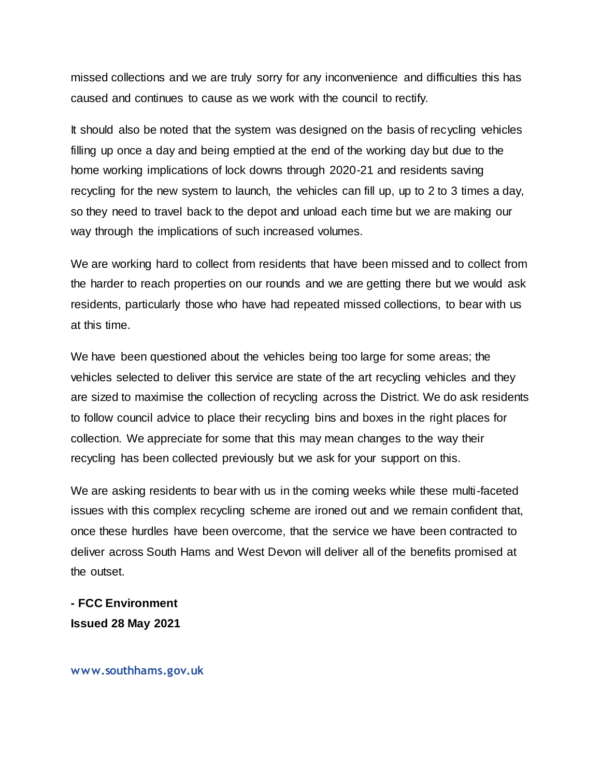missed collections and we are truly sorry for any inconvenience and difficulties this has caused and continues to cause as we work with the council to rectify.

It should also be noted that the system was designed on the basis of recycling vehicles filling up once a day and being emptied at the end of the working day but due to the home working implications of lock downs through 2020-21 and residents saving recycling for the new system to launch, the vehicles can fill up, up to 2 to 3 times a day, so they need to travel back to the depot and unload each time but we are making our way through the implications of such increased volumes.

We are working hard to collect from residents that have been missed and to collect from the harder to reach properties on our rounds and we are getting there but we would ask residents, particularly those who have had repeated missed collections, to bear with us at this time.

We have been questioned about the vehicles being too large for some areas; the vehicles selected to deliver this service are state of the art recycling vehicles and they are sized to maximise the collection of recycling across the District. We do ask residents to follow council advice to place their recycling bins and boxes in the right places for collection. We appreciate for some that this may mean changes to the way their recycling has been collected previously but we ask for your support on this.

We are asking residents to bear with us in the coming weeks while these multi-faceted issues with this complex recycling scheme are ironed out and we remain confident that, once these hurdles have been overcome, that the service we have been contracted to deliver across South Hams and West Devon will deliver all of the benefits promised at the outset.

**- FCC Environment Issued 28 May 2021**

**www.southhams.gov.uk**